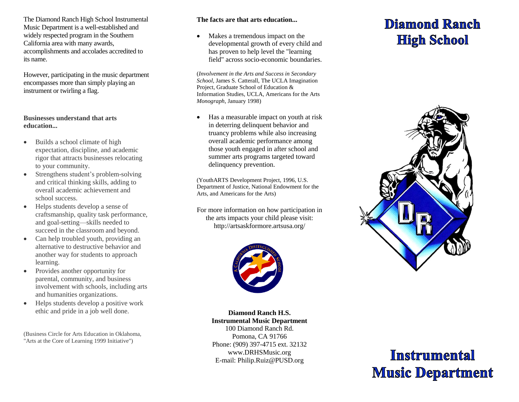The Diamond Ranch High School Instrumental Music Department is a well-established and widely respected program in the Southern California area with many awards, accomplishments and accolades accredited to its name.

However, participating in the music department encompasses more than simply playing an instrument or twirling a flag.

#### **Businesses understand that arts education...**

- Builds a school climate of high expectation, discipline, and academic rigor that attracts businesses relocating to your community.
- Strengthens student's problem-solving and critical thinking skills, adding to overall academic achievement and school success.
- Helps students develop a sense of craftsmanship, quality task performance, and goal-setting—skills needed to succeed in the classroom and beyond.
- Can help troubled youth, providing an alternative to destructive behavior and another way for students to approach learning.
- Provides another opportunity for parental, community, and business involvement with schools, including arts and humanities organizations.
- Helps students develop a positive work ethic and pride in a job well done.

(Business Circle for Arts Education in Oklahoma, "Arts at the Core of Learning 1999 Initiative")

## **The facts are that arts education...**

• Makes a tremendous impact on the developmental growth of every child and has proven to help level the "learning field" across socio-economic boundaries.

(*Involvement in the Arts and Success in Secondary School*, James S. Catterall, The UCLA Imagination Project, Graduate School of Education & Information Studies, UCLA, Americans for the Arts *Monograph*, January 1998)

 Has a measurable impact on youth at risk in deterring delinquent behavior and truancy problems while also increasing overall academic performance among those youth engaged in after school and summer arts programs targeted toward delinquency prevention.

(YouthARTS Development Project, 1996, U.S. Department of Justice, National Endowment for the Arts, and Americans for the Arts)

For more information on how participation in the arts impacts your child please visit: <http://artsaskformore.artsusa.org/>



**Diamond Ranch H.S. Instrumental Music Department** 100 Diamond Ranch Rd. Pomona, CA 91766 Phone: (909) 397-4715 ext. 32132 [www.DRHSMusic.org](http://www.drhsmusic.org/) E-mail: Philip.Ruiz@PUSD.org

## Diamond Ranch **High School**



# **Instrumental Music Department**